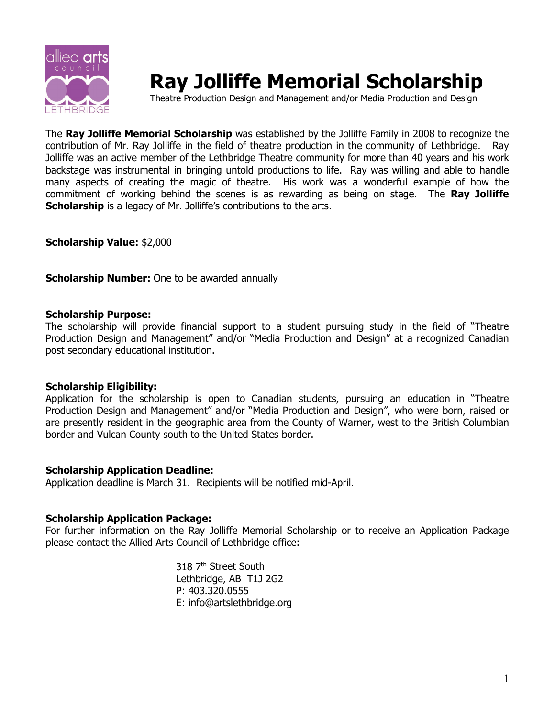

# **Ray Jolliffe Memorial Scholarship**

Theatre Production Design and Management and/or Media Production and Design

The **Ray Jolliffe Memorial Scholarship** was established by the Jolliffe Family in 2008 to recognize the contribution of Mr. Ray Jolliffe in the field of theatre production in the community of Lethbridge. Ray Jolliffe was an active member of the Lethbridge Theatre community for more than 40 years and his work backstage was instrumental in bringing untold productions to life. Ray was willing and able to handle many aspects of creating the magic of theatre. His work was a wonderful example of how the commitment of working behind the scenes is as rewarding as being on stage. The **Ray Jolliffe Scholarship** is a legacy of Mr. Jolliffe's contributions to the arts.

**Scholarship Value:** \$2,000

**Scholarship Number:** One to be awarded annually

#### **Scholarship Purpose:**

The scholarship will provide financial support to a student pursuing study in the field of "Theatre Production Design and Management" and/or "Media Production and Design" at a recognized Canadian post secondary educational institution.

## **Scholarship Eligibility:**

Application for the scholarship is open to Canadian students, pursuing an education in "Theatre Production Design and Management" and/or "Media Production and Design", who were born, raised or are presently resident in the geographic area from the County of Warner, west to the British Columbian border and Vulcan County south to the United States border.

## **Scholarship Application Deadline:**

Application deadline is March 31. Recipients will be notified mid-April.

## **Scholarship Application Package:**

For further information on the Ray Jolliffe Memorial Scholarship or to receive an Application Package please contact the Allied Arts Council of Lethbridge office:

> 318 7<sup>th</sup> Street South Lethbridge, AB T1J 2G2 P: 403.320.0555 E: info@artslethbridge.org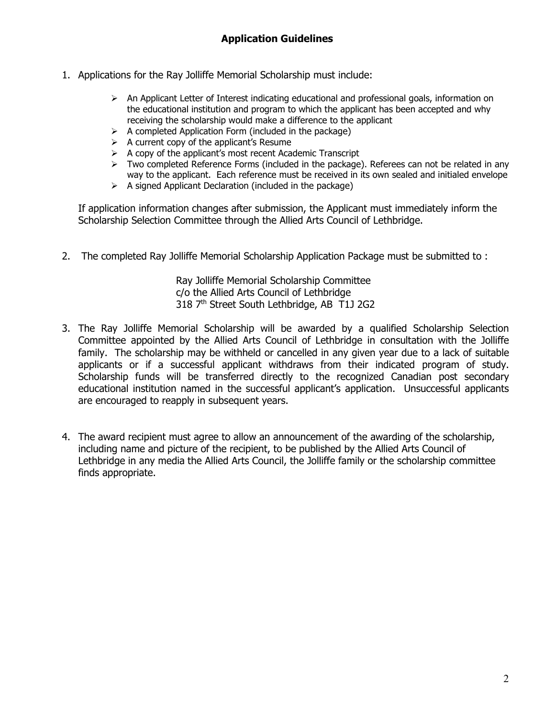- 1. Applications for the Ray Jolliffe Memorial Scholarship must include:
	- $\triangleright$  An Applicant Letter of Interest indicating educational and professional goals, information on the educational institution and program to which the applicant has been accepted and why receiving the scholarship would make a difference to the applicant
	- $\triangleright$  A completed Application Form (included in the package)
	- $\triangleright$  A current copy of the applicant's Resume
	- $\triangleright$  A copy of the applicant's most recent Academic Transcript
	- $\triangleright$  Two completed Reference Forms (included in the package). Referees can not be related in any way to the applicant. Each reference must be received in its own sealed and initialed envelope
	- $\triangleright$  A signed Applicant Declaration (included in the package)

If application information changes after submission, the Applicant must immediately inform the Scholarship Selection Committee through the Allied Arts Council of Lethbridge.

2. The completed Ray Jolliffe Memorial Scholarship Application Package must be submitted to :

Ray Jolliffe Memorial Scholarship Committee c/o the Allied Arts Council of Lethbridge 318 7th Street South Lethbridge, AB T1J 2G2

- 3. The Ray Jolliffe Memorial Scholarship will be awarded by a qualified Scholarship Selection Committee appointed by the Allied Arts Council of Lethbridge in consultation with the Jolliffe family. The scholarship may be withheld or cancelled in any given year due to a lack of suitable applicants or if a successful applicant withdraws from their indicated program of study. Scholarship funds will be transferred directly to the recognized Canadian post secondary educational institution named in the successful applicant's application. Unsuccessful applicants are encouraged to reapply in subsequent years.
- 4. The award recipient must agree to allow an announcement of the awarding of the scholarship, including name and picture of the recipient, to be published by the Allied Arts Council of Lethbridge in any media the Allied Arts Council, the Jolliffe family or the scholarship committee finds appropriate.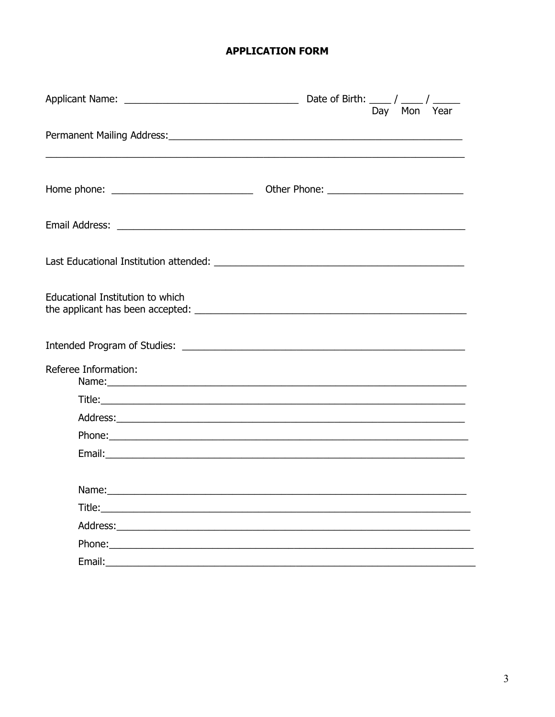# **APPLICATION FORM**

|                                                                                                                                                                                                                                     | Day Mon Year |  |
|-------------------------------------------------------------------------------------------------------------------------------------------------------------------------------------------------------------------------------------|--------------|--|
|                                                                                                                                                                                                                                     |              |  |
|                                                                                                                                                                                                                                     |              |  |
|                                                                                                                                                                                                                                     |              |  |
|                                                                                                                                                                                                                                     |              |  |
|                                                                                                                                                                                                                                     |              |  |
| Educational Institution to which                                                                                                                                                                                                    |              |  |
|                                                                                                                                                                                                                                     |              |  |
| Referee Information:                                                                                                                                                                                                                |              |  |
|                                                                                                                                                                                                                                     |              |  |
|                                                                                                                                                                                                                                     |              |  |
|                                                                                                                                                                                                                                     |              |  |
|                                                                                                                                                                                                                                     |              |  |
|                                                                                                                                                                                                                                     |              |  |
| <b>Title:</b> The contract of the contract of the contract of the contract of the contract of the contract of the contract of the contract of the contract of the contract of the contract of the contract of the contract of the c |              |  |
| Address: Analysis and the state of the state of the state of the state of the state of the state of the state of the state of the state of the state of the state of the state of the state of the state of the state of the s      |              |  |
| Phone:                                                                                                                                                                                                                              |              |  |
|                                                                                                                                                                                                                                     |              |  |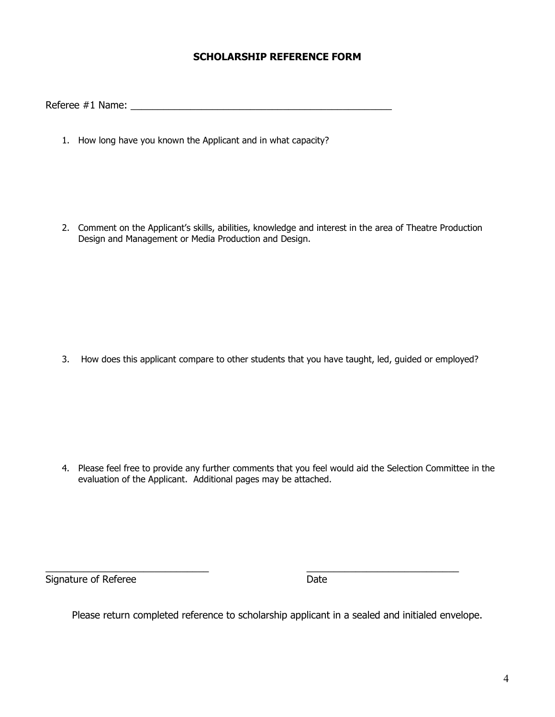## **SCHOLARSHIP REFERENCE FORM**

Referee #1 Name: \_\_\_\_\_\_\_\_\_\_\_\_\_\_\_\_\_\_\_\_\_\_\_\_\_\_\_\_\_\_\_\_\_\_\_\_\_\_\_\_\_\_\_\_\_\_\_\_

1. How long have you known the Applicant and in what capacity?

2. Comment on the Applicant's skills, abilities, knowledge and interest in the area of Theatre Production Design and Management or Media Production and Design.

3. How does this applicant compare to other students that you have taught, led, guided or employed?

4. Please feel free to provide any further comments that you feel would aid the Selection Committee in the evaluation of the Applicant. Additional pages may be attached.

 $\overline{\phantom{a}}$  , and the contract of the contract of the contract of the contract of the contract of the contract of the contract of the contract of the contract of the contract of the contract of the contract of the contrac Signature of Referee Date

Please return completed reference to scholarship applicant in a sealed and initialed envelope.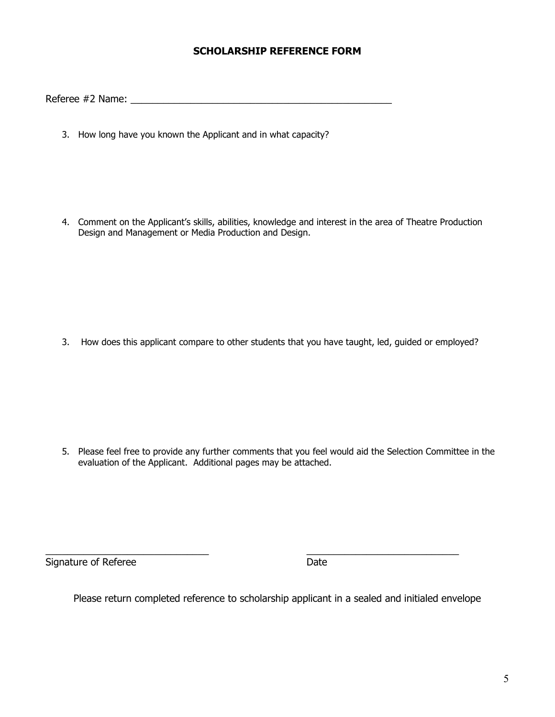## **SCHOLARSHIP REFERENCE FORM**

Referee #2 Name: \_\_\_\_\_\_\_\_\_\_\_\_\_\_\_\_\_\_\_\_\_\_\_\_\_\_\_\_\_\_\_\_\_\_\_\_\_\_\_\_\_\_\_\_\_\_\_\_

3. How long have you known the Applicant and in what capacity?

4. Comment on the Applicant's skills, abilities, knowledge and interest in the area of Theatre Production Design and Management or Media Production and Design.

3. How does this applicant compare to other students that you have taught, led, guided or employed?

5. Please feel free to provide any further comments that you feel would aid the Selection Committee in the evaluation of the Applicant. Additional pages may be attached.

 $\overline{\phantom{a}}$  , and the contract of the contract of the contract of the contract of the contract of the contract of the contract of the contract of the contract of the contract of the contract of the contract of the contrac Signature of Referee Date

Please return completed reference to scholarship applicant in a sealed and initialed envelope